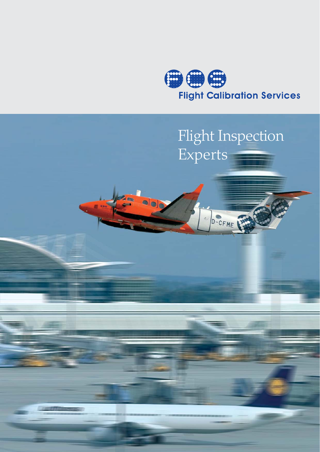

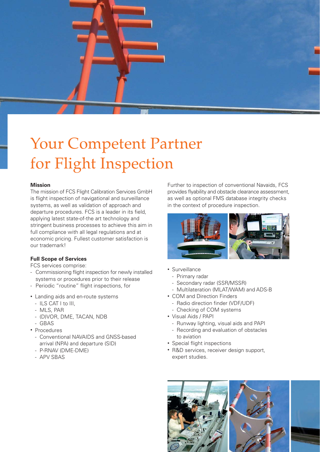

# Your Competent Partner for Flight Inspection

## **Mission**

The mission of FCS Flight Calibration Services GmbH is flight inspection of navigational and surveillance systems, as well as validation of approach and departure procedures. FCS is a leader in its field, applying latest state-of-the art technology and stringent business processes to achieve this aim in full compliance with all legal regulations and at economic pricing. Fullest customer satisfaction is our trademark!

## **Full Scope of Services**

FCS services comprise:

- Commissioning flight inspection for newly installed systems or procedures prior to their release
- Periodic "routine" flight inspections, for
- Landing aids and en-route systems
	- ILS CAT I to III,
	- MLS, PAR
	- (D)VOR, DME, TACAN, NDB
- GBAS
- Procedures
	- Conventional NAVAIDS and GNSS-based arrival (NPA) and departure (SID)
	- P-RNAV (DME-DME)
	- APV SBAS

Further to inspection of conventional Navaids, FCS provides flyability and obstacle clearance assessment, as well as optional FMS database integrity checks in the context of procedure inspection.



- Surveillance
	- Primary radar
	- Secondary radar (SSR/MSSR)
	- Multilateration (MLAT/WAM) and ADS-B
- COM and Direction Finders
	- Radio direction finder (VDF/UDF)
	- Checking of COM systems
- Visual Aids / PAPI
	- Runway lighting, visual aids and PAPI
	- Recording and evaluation of obstacles to aviation
- Special flight inspections
- R&D services, receiver design support, expert studies.

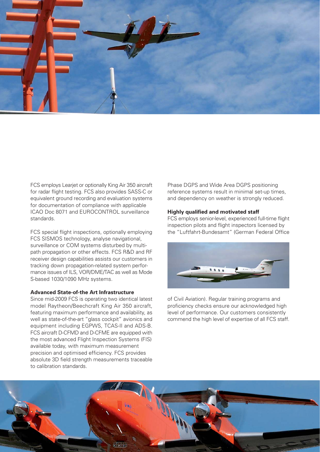

FCS employs Learjet or optionally King Air 350 aircraft for radar flight testing. FCS also provides SASS-C or equivalent ground recording and evaluation systems for documentation of compliance with applicable ICAO Doc 8071 and EUROCONTROL surveillance standards.

FCS special flight inspections, optionally employing FCS SISMOS technology, analyse navigational, surveillance or COM systems disturbed by multipath propagation or other effects. FCS R&D and RF receiver design capabilities assists our customers in tracking down propagation-related system performance issues of ILS, VOR/DME/TAC as well as Mode S-based 1030/1090 MHz systems.

#### **Advanced State-of-the Art Infrastructure**

Since mid-2009 FCS is operating two identical latest model Raytheon/Beechcraft King Air 350 aircraft, featuring maximum performance and availability, as well as state-of-the-art "glass cockpit" avionics and equipment including EGPWS, TCAS-II and ADS-B. FCS aircraft D-CFMD and D-CFME are equipped with the most advanced Flight Inspection Systems (FIS) available today, with maximum measurement precision and optimised efficiency. FCS provides absolute 3D field strength measurements traceable to calibration standards.

Phase DGPS and Wide Area DGPS positioning reference systems result in minimal set-up times, and dependency on weather is strongly reduced.

#### **Highly qualified and motivated staff**

FCS employs senior-level, experienced full-time flight inspection pilots and flight inspectors licensed by the "Luftfahrt-Bundesamt" (German Federal Office



of Civil Aviation). Regular training programs and proficiency checks ensure our acknowledged high level of performance. Our customers consistently commend the high level of expertise of all FCS staff.